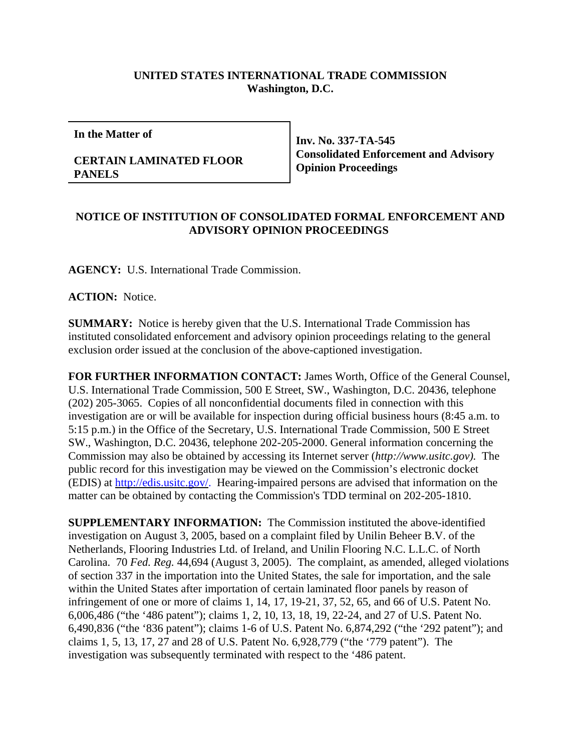## **UNITED STATES INTERNATIONAL TRADE COMMISSION Washington, D.C.**

**In the Matter of**

## **CERTAIN LAMINATED FLOOR PANELS**

**Inv. No. 337-TA-545 Consolidated Enforcement and Advisory Opinion Proceedings**

## **NOTICE OF INSTITUTION OF CONSOLIDATED FORMAL ENFORCEMENT AND ADVISORY OPINION PROCEEDINGS**

**AGENCY:** U.S. International Trade Commission.

**ACTION:** Notice.

**SUMMARY:** Notice is hereby given that the U.S. International Trade Commission has instituted consolidated enforcement and advisory opinion proceedings relating to the general exclusion order issued at the conclusion of the above-captioned investigation.

**FOR FURTHER INFORMATION CONTACT:** James Worth, Office of the General Counsel, U.S. International Trade Commission, 500 E Street, SW., Washington, D.C. 20436, telephone (202) 205-3065. Copies of all nonconfidential documents filed in connection with this investigation are or will be available for inspection during official business hours (8:45 a.m. to 5:15 p.m.) in the Office of the Secretary, U.S. International Trade Commission, 500 E Street SW., Washington, D.C. 20436, telephone 202-205-2000. General information concerning the Commission may also be obtained by accessing its Internet server (*http://www.usitc.gov).* The public record for this investigation may be viewed on the Commission's electronic docket (EDIS) at http://edis.usitc.gov/. Hearing-impaired persons are advised that information on the matter can be obtained by contacting the Commission's TDD terminal on 202-205-1810.

**SUPPLEMENTARY INFORMATION:** The Commission instituted the above-identified investigation on August 3, 2005, based on a complaint filed by Unilin Beheer B.V. of the Netherlands, Flooring Industries Ltd. of Ireland, and Unilin Flooring N.C. L.L.C. of North Carolina. 70 *Fed. Reg.* 44,694 (August 3, 2005). The complaint, as amended, alleged violations of section 337 in the importation into the United States, the sale for importation, and the sale within the United States after importation of certain laminated floor panels by reason of infringement of one or more of claims 1, 14, 17, 19-21, 37, 52, 65, and 66 of U.S. Patent No. 6,006,486 ("the '486 patent"); claims 1, 2, 10, 13, 18, 19, 22-24, and 27 of U.S. Patent No. 6,490,836 ("the '836 patent"); claims 1-6 of U.S. Patent No. 6,874,292 ("the '292 patent"); and claims 1, 5, 13, 17, 27 and 28 of U.S. Patent No. 6,928,779 ("the '779 patent"). The investigation was subsequently terminated with respect to the '486 patent.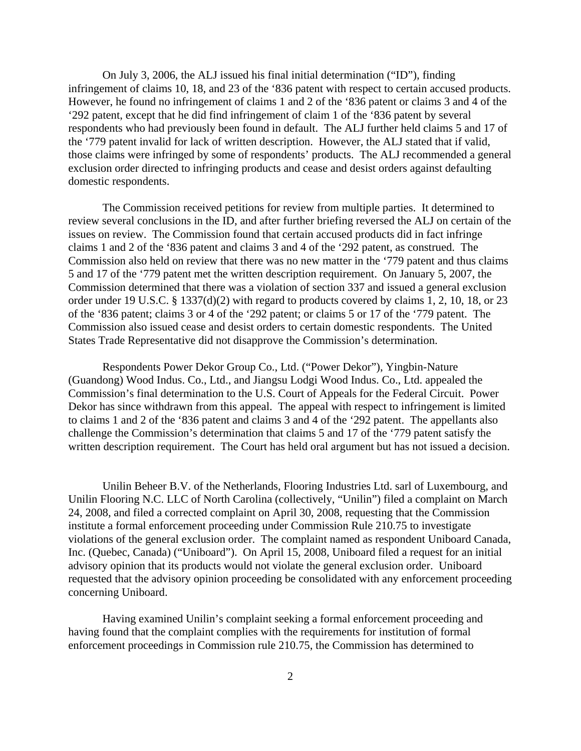On July 3, 2006, the ALJ issued his final initial determination ("ID"), finding infringement of claims 10, 18, and 23 of the '836 patent with respect to certain accused products. However, he found no infringement of claims 1 and 2 of the '836 patent or claims 3 and 4 of the '292 patent, except that he did find infringement of claim 1 of the '836 patent by several respondents who had previously been found in default. The ALJ further held claims 5 and 17 of the '779 patent invalid for lack of written description. However, the ALJ stated that if valid, those claims were infringed by some of respondents' products. The ALJ recommended a general exclusion order directed to infringing products and cease and desist orders against defaulting domestic respondents.

The Commission received petitions for review from multiple parties. It determined to review several conclusions in the ID, and after further briefing reversed the ALJ on certain of the issues on review. The Commission found that certain accused products did in fact infringe claims 1 and 2 of the '836 patent and claims 3 and 4 of the '292 patent, as construed. The Commission also held on review that there was no new matter in the '779 patent and thus claims 5 and 17 of the '779 patent met the written description requirement. On January 5, 2007, the Commission determined that there was a violation of section 337 and issued a general exclusion order under 19 U.S.C. § 1337(d)(2) with regard to products covered by claims 1, 2, 10, 18, or 23 of the '836 patent; claims 3 or 4 of the '292 patent; or claims 5 or 17 of the '779 patent. The Commission also issued cease and desist orders to certain domestic respondents. The United States Trade Representative did not disapprove the Commission's determination.

Respondents Power Dekor Group Co., Ltd. ("Power Dekor"), Yingbin-Nature (Guandong) Wood Indus. Co., Ltd., and Jiangsu Lodgi Wood Indus. Co., Ltd. appealed the Commission's final determination to the U.S. Court of Appeals for the Federal Circuit. Power Dekor has since withdrawn from this appeal. The appeal with respect to infringement is limited to claims 1 and 2 of the '836 patent and claims 3 and 4 of the '292 patent. The appellants also challenge the Commission's determination that claims 5 and 17 of the '779 patent satisfy the written description requirement. The Court has held oral argument but has not issued a decision.

Unilin Beheer B.V. of the Netherlands, Flooring Industries Ltd. sarl of Luxembourg, and Unilin Flooring N.C. LLC of North Carolina (collectively, "Unilin") filed a complaint on March 24, 2008, and filed a corrected complaint on April 30, 2008, requesting that the Commission institute a formal enforcement proceeding under Commission Rule 210.75 to investigate violations of the general exclusion order. The complaint named as respondent Uniboard Canada, Inc. (Quebec, Canada) ("Uniboard"). On April 15, 2008, Uniboard filed a request for an initial advisory opinion that its products would not violate the general exclusion order. Uniboard requested that the advisory opinion proceeding be consolidated with any enforcement proceeding concerning Uniboard.

Having examined Unilin's complaint seeking a formal enforcement proceeding and having found that the complaint complies with the requirements for institution of formal enforcement proceedings in Commission rule 210.75, the Commission has determined to